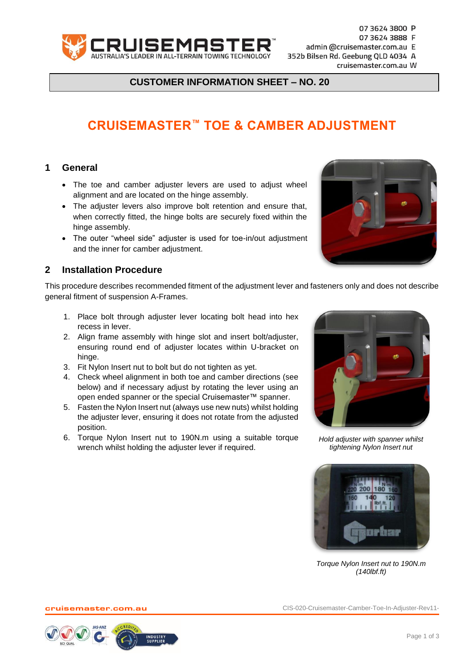

07 3624 3800 P

07 3624 3888 F

admin @cruisemaster.com.au E

352b Bilsen Rd. Geebung QLD 4034 A

cruisemaster.com.au W

**CUSTOMER INFORMATION SHEET – NO. 20**

## **CRUISEMASTER™ TOE & CAMBER ADJUSTMENT**

## **1 General**

- The toe and camber adjuster levers are used to adjust wheel alignment and are located on the hinge assembly.
- The adjuster levers also improve bolt retention and ensure that, when correctly fitted, the hinge bolts are securely fixed within the hinge assembly.
- The outer "wheel side" adjuster is used for toe-in/out adjustment and the inner for camber adjustment.

## **2 Installation Procedure**

This procedure describes recommended fitment of the adjustment lever and fasteners only and does not describe general fitment of suspension A-Frames.

- 1. Place bolt through adjuster lever locating bolt head into hex recess in lever.
- 2. Align frame assembly with hinge slot and insert bolt/adjuster, ensuring round end of adjuster locates within U-bracket on hinge.
- 3. Fit Nylon Insert nut to bolt but do not tighten as yet.
- 4. Check wheel alignment in both toe and camber directions (see below) and if necessary adjust by rotating the lever using an open ended spanner or the special Cruisemaster™ spanner.
- 5. Fasten the Nylon Insert nut (always use new nuts) whilst holding the adjuster lever, ensuring it does not rotate from the adjusted position.
- 6. Torque Nylon Insert nut to 190N.m using a suitable torque wrench whilst holding the adjuster lever if required.



*Hold adjuster with spanner whilst tightening Nylon Insert nut*



*Torque Nylon Insert nut to 190N.m (140lbf.ft)*

cruisemaster.com.au CIS-020-Cruisemaster-Camber-Toe-In-Adjuster-Rev11-



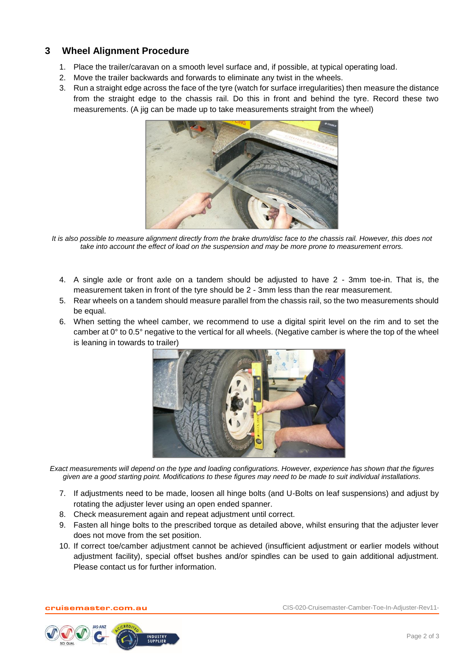## **3 Wheel Alignment Procedure**

- 1. Place the trailer/caravan on a smooth level surface and, if possible, at typical operating load.
- 2. Move the trailer backwards and forwards to eliminate any twist in the wheels.
- 3. Run a straight edge across the face of the tyre (watch for surface irregularities) then measure the distance from the straight edge to the chassis rail. Do this in front and behind the tyre. Record these two measurements. (A jig can be made up to take measurements straight from the wheel)



*It is also possible to measure alignment directly from the brake drum/disc face to the chassis rail. However, this does not take into account the effect of load on the suspension and may be more prone to measurement errors.*

- 4. A single axle or front axle on a tandem should be adjusted to have 2 3mm toe-in. That is, the measurement taken in front of the tyre should be 2 - 3mm less than the rear measurement.
- 5. Rear wheels on a tandem should measure parallel from the chassis rail, so the two measurements should be equal.
- 6. When setting the wheel camber, we recommend to use a digital spirit level on the rim and to set the camber at 0° to 0.5° negative to the vertical for all wheels. (Negative camber is where the top of the wheel is leaning in towards to trailer)



*Exact measurements will depend on the type and loading configurations. However, experience has shown that the figures given are a good starting point. Modifications to these figures may need to be made to suit individual installations.*

- 7. If adjustments need to be made, loosen all hinge bolts (and U-Bolts on leaf suspensions) and adjust by rotating the adjuster lever using an open ended spanner.
- 8. Check measurement again and repeat adjustment until correct.
- 9. Fasten all hinge bolts to the prescribed torque as detailed above, whilst ensuring that the adjuster lever does not move from the set position.
- 10. If correct toe/camber adjustment cannot be achieved (insufficient adjustment or earlier models without adjustment facility), special offset bushes and/or spindles can be used to gain additional adjustment. Please contact us for further information.